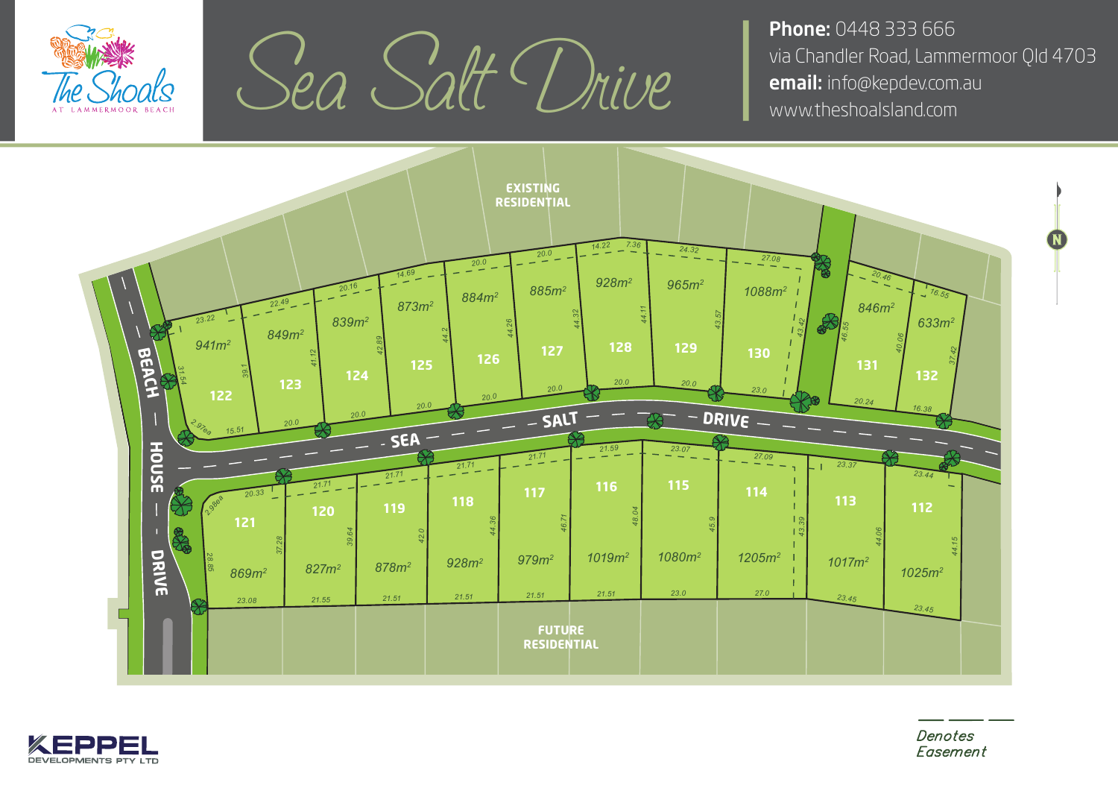

Sea Salt Drive I via Chandler Road, Lammern

**Phone: 0448 333 666** via Chandler Road, Lammermoor Qld 4703





Denotes Easement